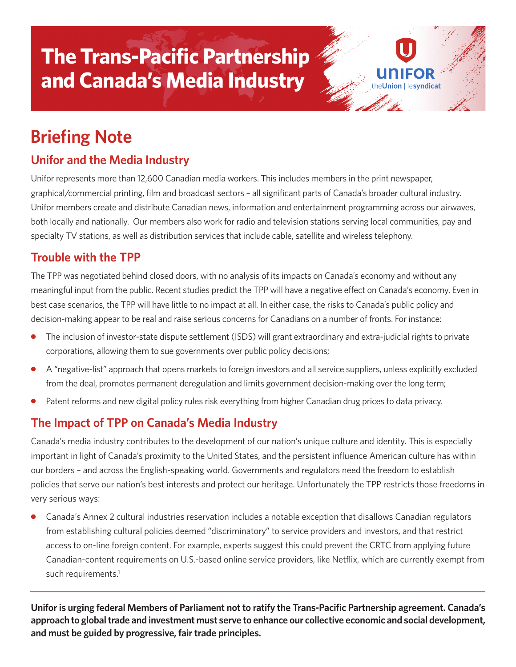# **The Trans-Pacific Partnership and Canada's Media Industry**

# **Briefing Note**

## **Unifor and the Media Industry**

Unifor represents more than 12,600 Canadian media workers. This includes members in the print newspaper, graphical/commercial printing, film and broadcast sectors – all significant parts of Canada's broader cultural industry. Unifor members create and distribute Canadian news, information and entertainment programming across our airwaves, both locally and nationally. Our members also work for radio and television stations serving local communities, pay and specialty TV stations, as well as distribution services that include cable, satellite and wireless telephony.

on **Lesyndicat** 

#### **Trouble with the TPP**

The TPP was negotiated behind closed doors, with no analysis of its impacts on Canada's economy and without any meaningful input from the public. Recent studies predict the TPP will have a negative effect on Canada's economy. Even in best case scenarios, the TPP will have little to no impact at all. In either case, the risks to Canada's public policy and decision-making appear to be real and raise serious concerns for Canadians on a number of fronts. For instance:

- The inclusion of investor-state dispute settlement (ISDS) will grant extraordinary and extra-judicial rights to private corporations, allowing them to sue governments over public policy decisions;
- **●** A "negative-list" approach that opens markets to foreign investors and all service suppliers, unless explicitly excluded from the deal, promotes permanent deregulation and limits government decision-making over the long term;
- Patent reforms and new digital policy rules risk everything from higher Canadian drug prices to data privacy.

## **The Impact of TPP on Canada's Media Industry**

Canada's media industry contributes to the development of our nation's unique culture and identity. This is especially important in light of Canada's proximity to the United States, and the persistent influence American culture has within our borders – and across the English-speaking world. Governments and regulators need the freedom to establish policies that serve our nation's best interests and protect our heritage. Unfortunately the TPP restricts those freedoms in very serious ways:

**●** Canada's Annex 2 cultural industries reservation includes a notable exception that disallows Canadian regulators from establishing cultural policies deemed "discriminatory" to service providers and investors, and that restrict access to on-line foreign content. For example, experts suggest this could prevent the CRTC from applying future Canadian-content requirements on U.S.-based online service providers, like Netflix, which are currently exempt from such requirements. 1

**Uniforis urging federal Members of Parliament not to ratify the Trans-Pacific Partnership agreement. Canada's approach to globaltrade and investment must serve to enhance our collective economic and social development, and must be guided by progressive, fair trade principles.**